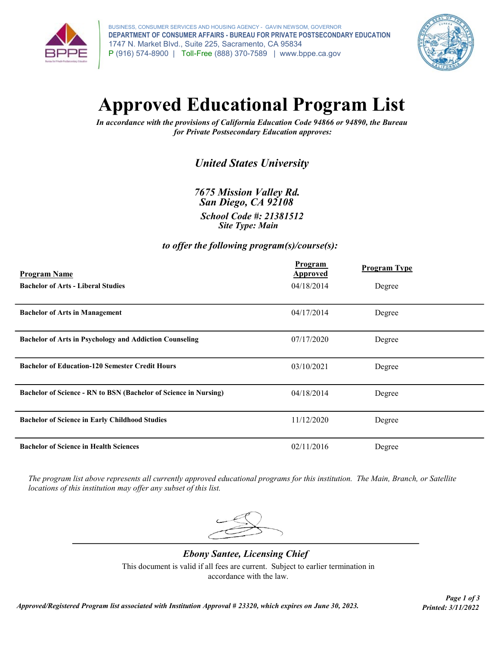

BUSINESS, CONSUMER SERVICES AND HOUSING AGENCY - GAVIN NEWSOM, GOVERNOR DEPARTMENT OF CONSUMER AFFAIRS - BUREAU FOR PRIVATE POSTSECONDARY EDUCATION 1747 N. Market Blvd., Suite 225, Sacramento, CA 95834 P (916) 574-8900 | Toll-Free (888) 370-7589 | www.bppe.ca.gov



# Approved Educational Program List

In accordance with the provisions of California Education Code 94866 or 94890, the Bureau for Private Postsecondary Education approves:

# United States University

7675 Mission Valley Rd. San Diego, CA 92108

School Code #: 21381512 Site Type: Main

## to offer the following program(s)/course(s):

| <b>Program Name</b>                                                     | <b>Program</b><br><b>Approved</b> | <b>Program Type</b> |  |
|-------------------------------------------------------------------------|-----------------------------------|---------------------|--|
| <b>Bachelor of Arts - Liberal Studies</b>                               | 04/18/2014                        | Degree              |  |
| <b>Bachelor of Arts in Management</b>                                   | 04/17/2014                        | Degree              |  |
| <b>Bachelor of Arts in Psychology and Addiction Counseling</b>          | 07/17/2020                        | Degree              |  |
| <b>Bachelor of Education-120 Semester Credit Hours</b>                  | 03/10/2021                        | Degree              |  |
| <b>Bachelor of Science - RN to BSN (Bachelor of Science in Nursing)</b> | 04/18/2014                        | Degree              |  |
| <b>Bachelor of Science in Early Childhood Studies</b>                   | 11/12/2020                        | Degree              |  |
| <b>Bachelor of Science in Health Sciences</b>                           | 02/11/2016                        | Degree              |  |

The program list above represents all currently approved educational programs for this institution. The Main, Branch, or Satellite locations of this institution may offer any subset of this list.

This document is valid if all fees are current. Subject to earlier termination in accordance with the law. Ebony Santee, Licensing Chief

Page 1 of 3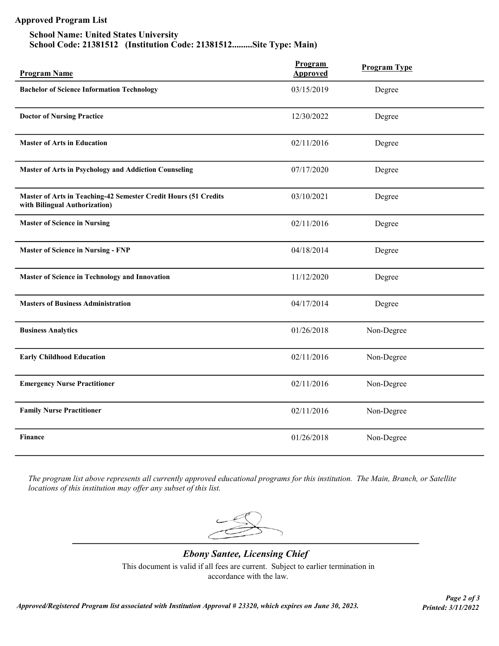# Approved Program List

### School Name: United States University School Code: 21381512 (Institution Code: 21381512.........Site Type: Main)

| <b>Program Name</b>                                                                              | Program<br><b>Approved</b> | <b>Program Type</b> |
|--------------------------------------------------------------------------------------------------|----------------------------|---------------------|
| <b>Bachelor of Science Information Technology</b>                                                | 03/15/2019                 | Degree              |
| <b>Doctor of Nursing Practice</b>                                                                | 12/30/2022                 | Degree              |
| <b>Master of Arts in Education</b>                                                               | 02/11/2016                 | Degree              |
| Master of Arts in Psychology and Addiction Counseling                                            | 07/17/2020                 | Degree              |
| Master of Arts in Teaching-42 Semester Credit Hours (51 Credits<br>with Bilingual Authorization) | 03/10/2021                 | Degree              |
| <b>Master of Science in Nursing</b>                                                              | 02/11/2016                 | Degree              |
| <b>Master of Science in Nursing - FNP</b>                                                        | 04/18/2014                 | Degree              |
| Master of Science in Technology and Innovation                                                   | 11/12/2020                 | Degree              |
| <b>Masters of Business Administration</b>                                                        | 04/17/2014                 | Degree              |
| <b>Business Analytics</b>                                                                        | 01/26/2018                 | Non-Degree          |
| <b>Early Childhood Education</b>                                                                 | 02/11/2016                 | Non-Degree          |
| <b>Emergency Nurse Practitioner</b>                                                              | 02/11/2016                 | Non-Degree          |
| <b>Family Nurse Practitioner</b>                                                                 | 02/11/2016                 | Non-Degree          |
| <b>Finance</b>                                                                                   | 01/26/2018                 | Non-Degree          |

The program list above represents all currently approved educational programs for this institution. The Main, Branch, or Satellite locations of this institution may offer any subset of this list.

This document is valid if all fees are current. Subject to earlier termination in accordance with the law. Ebony Santee, Licensing Chief

Page 2 of 3